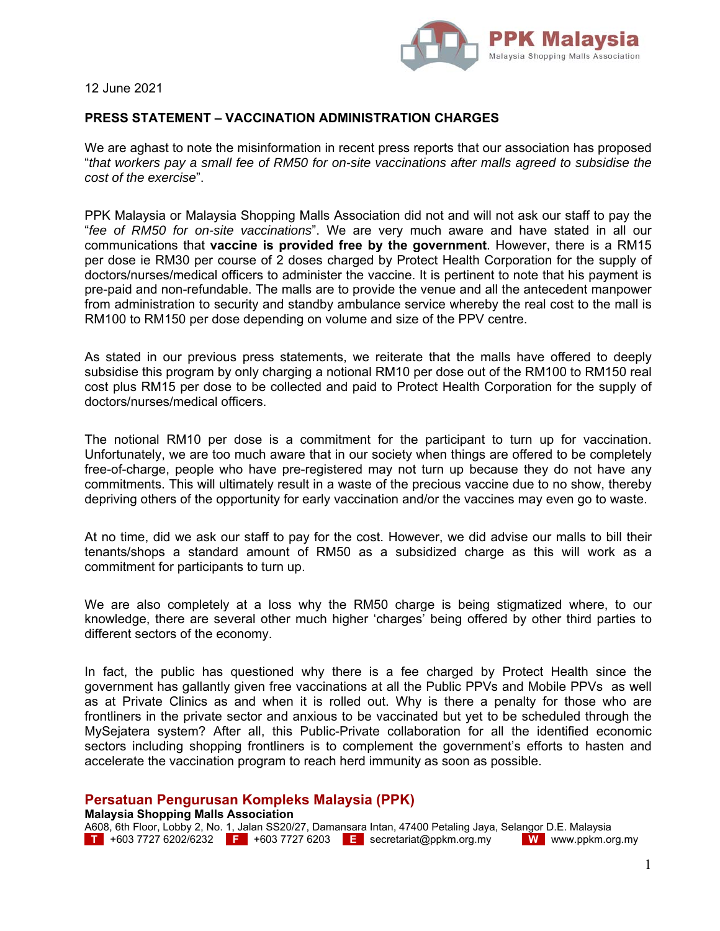

12 June 2021

## **PRESS STATEMENT – VACCINATION ADMINISTRATION CHARGES**

We are aghast to note the misinformation in recent press reports that our association has proposed "*that workers pay a small fee of RM50 for on-site vaccinations after malls agreed to subsidise the cost of the exercise*".

PPK Malaysia or Malaysia Shopping Malls Association did not and will not ask our staff to pay the "*fee of RM50 for on-site vaccinations*". We are very much aware and have stated in all our communications that **vaccine is provided free by the government**. However, there is a RM15 per dose ie RM30 per course of 2 doses charged by Protect Health Corporation for the supply of doctors/nurses/medical officers to administer the vaccine. It is pertinent to note that his payment is pre-paid and non-refundable. The malls are to provide the venue and all the antecedent manpower from administration to security and standby ambulance service whereby the real cost to the mall is RM100 to RM150 per dose depending on volume and size of the PPV centre.

As stated in our previous press statements, we reiterate that the malls have offered to deeply subsidise this program by only charging a notional RM10 per dose out of the RM100 to RM150 real cost plus RM15 per dose to be collected and paid to Protect Health Corporation for the supply of doctors/nurses/medical officers.

The notional RM10 per dose is a commitment for the participant to turn up for vaccination. Unfortunately, we are too much aware that in our society when things are offered to be completely free-of-charge, people who have pre-registered may not turn up because they do not have any commitments. This will ultimately result in a waste of the precious vaccine due to no show, thereby depriving others of the opportunity for early vaccination and/or the vaccines may even go to waste.

At no time, did we ask our staff to pay for the cost. However, we did advise our malls to bill their tenants/shops a standard amount of RM50 as a subsidized charge as this will work as a commitment for participants to turn up.

We are also completely at a loss why the RM50 charge is being stigmatized where, to our knowledge, there are several other much higher 'charges' being offered by other third parties to different sectors of the economy.

In fact, the public has questioned why there is a fee charged by Protect Health since the government has gallantly given free vaccinations at all the Public PPVs and Mobile PPVs as well as at Private Clinics as and when it is rolled out. Why is there a penalty for those who are frontliners in the private sector and anxious to be vaccinated but yet to be scheduled through the MySejatera system? After all, this Public-Private collaboration for all the identified economic sectors including shopping frontliners is to complement the government's efforts to hasten and accelerate the vaccination program to reach herd immunity as soon as possible.

## **Persatuan Pengurusan Kompleks Malaysia (PPK)**

## **Malaysia Shopping Malls Association**

A608, 6th Floor, Lobby 2, No. 1, Jalan SS20/27, Damansara Intan, 47400 Petaling Jaya, Selangor D.E. Malaysia<br>LTL +603 7727 6202/6232 LFL +603 7727 6203 LEL secretariat@ppkm.org.my LL ML www.ppkm.org.my **T** +603 7727 6202/6232 **F** +603 7727 6203 **E** secretariat@ppkm.org.my